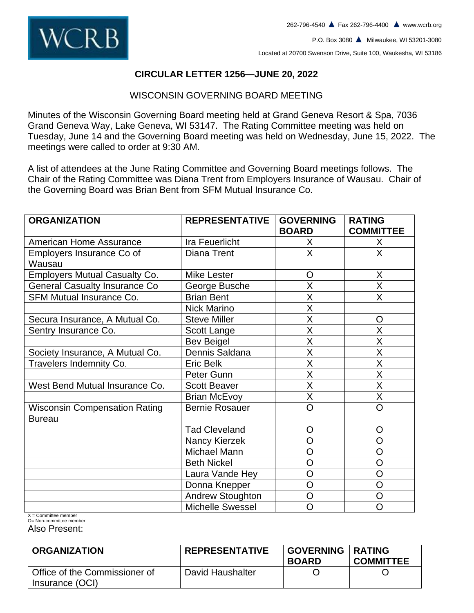

P.O. Box 3080 **▲** Milwaukee, WI 53201-3080

Located at 20700 Swenson Drive, Suite 100, Waukesha, WI 53186

#### **CIRCULAR LETTER 1256—JUNE 20, 2022**

#### WISCONSIN GOVERNING BOARD MEETING

Minutes of the Wisconsin Governing Board meeting held at Grand Geneva Resort & Spa, 7036 Grand Geneva Way, Lake Geneva, WI 53147. The Rating Committee meeting was held on Tuesday, June 14 and the Governing Board meeting was held on Wednesday, June 15, 2022. The meetings were called to order at 9:30 AM.

A list of attendees at the June Rating Committee and Governing Board meetings follows. The Chair of the Rating Committee was Diana Trent from Employers Insurance of Wausau. Chair of the Governing Board was Brian Bent from SFM Mutual Insurance Co.

| <b>ORGANIZATION</b>                  | <b>REPRESENTATIVE</b>   | <b>GOVERNING</b><br><b>BOARD</b> | <b>RATING</b><br><b>COMMITTEE</b> |
|--------------------------------------|-------------------------|----------------------------------|-----------------------------------|
| <b>American Home Assurance</b>       | Ira Feuerlicht          | X                                | X                                 |
| Employers Insurance Co of            | Diana Trent             | X                                | X                                 |
| Wausau                               |                         |                                  |                                   |
| <b>Employers Mutual Casualty Co.</b> | <b>Mike Lester</b>      | $\circ$                          | X                                 |
| <b>General Casualty Insurance Co</b> | George Busche           | X                                | X                                 |
| <b>SFM Mutual Insurance Co.</b>      | <b>Brian Bent</b>       | X                                | X                                 |
|                                      | <b>Nick Marino</b>      | X                                |                                   |
| Secura Insurance, A Mutual Co.       | <b>Steve Miller</b>     | X                                | $\circ$                           |
| Sentry Insurance Co.                 | Scott Lange             | X                                | X                                 |
|                                      | <b>Bev Beigel</b>       | X                                | X                                 |
| Society Insurance, A Mutual Co.      | Dennis Saldana          | X                                | X                                 |
| Travelers Indemnity Co.              | <b>Eric Belk</b>        | X                                | X                                 |
|                                      | Peter Gunn              | X                                | X                                 |
| West Bend Mutual Insurance Co.       | <b>Scott Beaver</b>     | X                                | X                                 |
|                                      | <b>Brian McEvoy</b>     | X                                | X                                 |
| <b>Wisconsin Compensation Rating</b> | <b>Bernie Rosauer</b>   | $\overline{O}$                   | O                                 |
| <b>Bureau</b>                        |                         |                                  |                                   |
|                                      | <b>Tad Cleveland</b>    | O                                | $\circ$                           |
|                                      | Nancy Kierzek           | $\overline{O}$                   | O                                 |
|                                      | Michael Mann            | O                                | O                                 |
|                                      | <b>Beth Nickel</b>      | O                                | O                                 |
|                                      | Laura Vande Hey         | O                                | O                                 |
|                                      | Donna Knepper           | O                                | O                                 |
|                                      | <b>Andrew Stoughton</b> | $\overline{O}$                   | $\overline{O}$                    |
|                                      | <b>Michelle Swessel</b> | O                                | O                                 |

 $X =$  Committee member O= Non-committee member

Also Present:

| <b>ORGANIZATION</b>                              | <b>REPRESENTATIVE</b> | <b>GOVERNING</b><br><b>BOARD</b> | <b>I RATING</b><br><b>COMMITTEE</b> |
|--------------------------------------------------|-----------------------|----------------------------------|-------------------------------------|
| Office of the Commissioner of<br>Insurance (OCI) | David Haushalter      |                                  |                                     |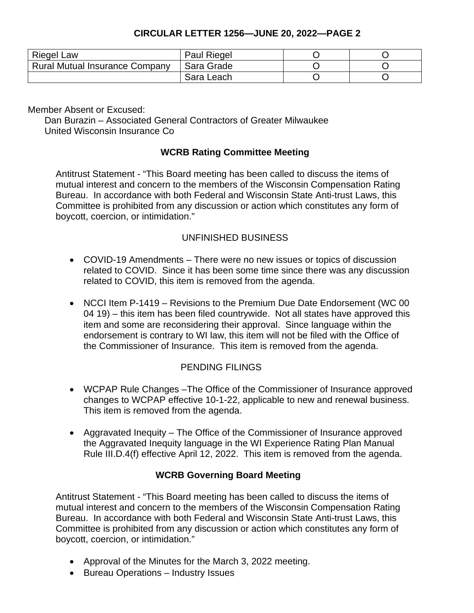## **CIRCULAR LETTER 1256—JUNE 20, 2022—PAGE 2**

| <b>Riegel Law</b>                     | <b>Paul Riegel</b> |  |
|---------------------------------------|--------------------|--|
| <b>Rural Mutual Insurance Company</b> | Sara Grade         |  |
|                                       | Sara Leach         |  |

Member Absent or Excused:

Dan Burazin – Associated General Contractors of Greater Milwaukee United Wisconsin Insurance Co

#### **WCRB Rating Committee Meeting**

Antitrust Statement - "This Board meeting has been called to discuss the items of mutual interest and concern to the members of the Wisconsin Compensation Rating Bureau. In accordance with both Federal and Wisconsin State Anti-trust Laws, this Committee is prohibited from any discussion or action which constitutes any form of boycott, coercion, or intimidation."

## UNFINISHED BUSINESS

- COVID-19 Amendments There were no new issues or topics of discussion related to COVID. Since it has been some time since there was any discussion related to COVID, this item is removed from the agenda.
- NCCI Item P-1419 Revisions to the Premium Due Date Endorsement (WC 00 04 19) – this item has been filed countrywide. Not all states have approved this item and some are reconsidering their approval. Since language within the endorsement is contrary to WI law, this item will not be filed with the Office of the Commissioner of Insurance. This item is removed from the agenda.

## PENDING FILINGS

- WCPAP Rule Changes –The Office of the Commissioner of Insurance approved changes to WCPAP effective 10-1-22, applicable to new and renewal business. This item is removed from the agenda.
- Aggravated Inequity The Office of the Commissioner of Insurance approved the Aggravated Inequity language in the WI Experience Rating Plan Manual Rule III.D.4(f) effective April 12, 2022. This item is removed from the agenda.

## **WCRB Governing Board Meeting**

Antitrust Statement - "This Board meeting has been called to discuss the items of mutual interest and concern to the members of the Wisconsin Compensation Rating Bureau. In accordance with both Federal and Wisconsin State Anti-trust Laws, this Committee is prohibited from any discussion or action which constitutes any form of boycott, coercion, or intimidation."

- Approval of the Minutes for the March 3, 2022 meeting.
- Bureau Operations Industry Issues